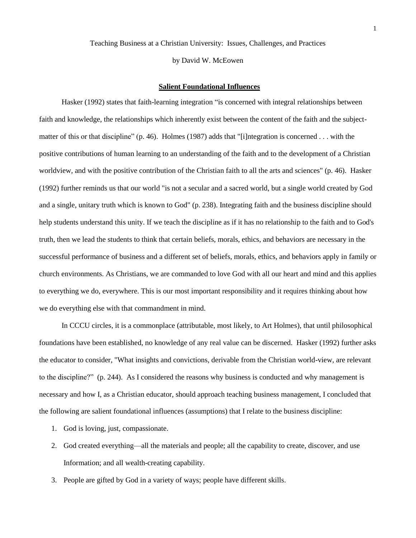Teaching Business at a Christian University: Issues, Challenges, and Practices

by David W. McEowen

## **Salient Foundational Influences**

Hasker (1992) states that faith-learning integration "is concerned with integral relationships between faith and knowledge, the relationships which inherently exist between the content of the faith and the subjectmatter of this or that discipline" (p. 46). Holmes (1987) adds that "[i]ntegration is concerned ... with the positive contributions of human learning to an understanding of the faith and to the development of a Christian worldview, and with the positive contribution of the Christian faith to all the arts and sciences" (p. 46). Hasker (1992) further reminds us that our world "is not a secular and a sacred world, but a single world created by God and a single, unitary truth which is known to God" (p. 238). Integrating faith and the business discipline should help students understand this unity. If we teach the discipline as if it has no relationship to the faith and to God's truth, then we lead the students to think that certain beliefs, morals, ethics, and behaviors are necessary in the successful performance of business and a different set of beliefs, morals, ethics, and behaviors apply in family or church environments. As Christians, we are commanded to love God with all our heart and mind and this applies to everything we do, everywhere. This is our most important responsibility and it requires thinking about how we do everything else with that commandment in mind.

 In CCCU circles, it is a commonplace (attributable, most likely, to Art Holmes), that until philosophical foundations have been established, no knowledge of any real value can be discerned. Hasker (1992) further asks the educator to consider, "What insights and convictions, derivable from the Christian world-view, are relevant to the discipline?" (p. 244). As I considered the reasons why business is conducted and why management is necessary and how I, as a Christian educator, should approach teaching business management, I concluded that the following are salient foundational influences (assumptions) that I relate to the business discipline:

- 1. God is loving, just, compassionate.
- 2. God created everything—all the materials and people; all the capability to create, discover, and use Information; and all wealth-creating capability.
- 3. People are gifted by God in a variety of ways; people have different skills.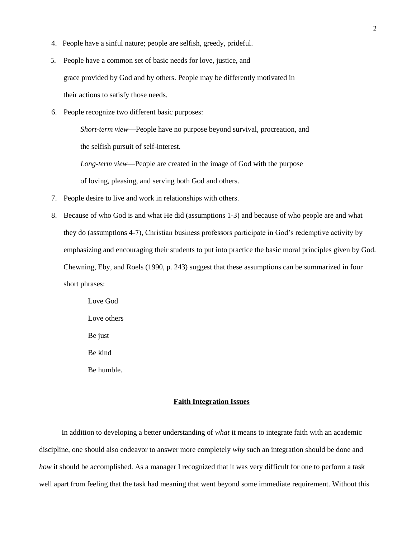- 4. People have a sinful nature; people are selfish, greedy, prideful.
- 5. People have a common set of basic needs for love, justice, and grace provided by God and by others. People may be differently motivated in their actions to satisfy those needs.
- 6. People recognize two different basic purposes:

 *Short-term view*—People have no purpose beyond survival, procreation, and the selfish pursuit of self-interest.

*Long-term view*—People are created in the image of God with the purpose

of loving, pleasing, and serving both God and others.

- 7. People desire to live and work in relationships with others.
- 8. Because of who God is and what He did (assumptions 1-3) and because of who people are and what they do (assumptions 4-7), Christian business professors participate in God's redemptive activity by emphasizing and encouraging their students to put into practice the basic moral principles given by God. Chewning, Eby, and Roels (1990, p. 243) suggest that these assumptions can be summarized in four short phrases:

Love God Love others Be just Be kind Be humble.

# **Faith Integration Issues**

 In addition to developing a better understanding of *what* it means to integrate faith with an academic discipline, one should also endeavor to answer more completely *why* such an integration should be done and *how* it should be accomplished. As a manager I recognized that it was very difficult for one to perform a task well apart from feeling that the task had meaning that went beyond some immediate requirement. Without this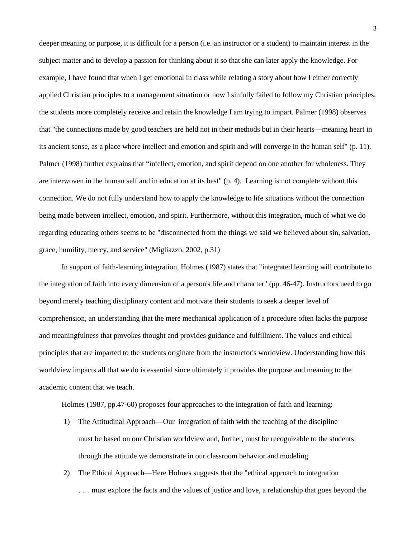deeper meaning or purpose, it is difficult for a person (i.e. an instructor or a student) to maintain interest in the subject matter and to develop a passion for thinking about it so that she can later apply the knowledge. For example, I have found that when I get emotional in class while relating a story about how I either correctly applied Christian principles to a management situation or how I sinfully failed to follow my Christian principles, the students more completely receive and retain the knowledge I am trying to impart. Palmer (1998) observes that "the connections made by good teachers are held not in their methods but in their hearts—meaning heart in its ancient sense, as a place where intellect and emotion and spirit and will converge in the human self" (p. 11). Palmer (1998) further explains that "intellect, emotion, and spirit depend on one another for wholeness. They are interwoven in the human self and in education at its best" (p. 4). Learning is not complete without this connection. We do not fully understand how to apply the knowledge to life situations without the connection being made between intellect, emotion, and spirit. Furthermore, without this integration, much of what we do regarding educating others seems to be "disconnected from the things we said we believed about sin, salvation, grace, humility, mercy, and service" (Migliazzo, 2002, p.31)

 In support of faith-learning integration, Holmes (1987) states that "integrated learning will contribute to the integration of faith into every dimension of a person's life and character" (pp. 46-47). Instructors need to go beyond merely teaching disciplinary content and motivate their students to seek a deeper level of comprehension, an understanding that the mere mechanical application of a procedure often lacks the purpose and meaningfulness that provokes thought and provides guidance and fulfillment. The values and ethical principles that are imparted to the students originate from the instructor's worldview. Understanding how this worldview impacts all that we do is essential since ultimately it provides the purpose and meaning to the academic content that we teach.

Holmes (1987, pp.47-60) proposes four approaches to the integration of faith and learning:

- 1) The Attitudinal Approach—Our integration of faith with the teaching of the discipline must be based on our Christian worldview and, further, must be recognizable to the students through the attitude we demonstrate in our classroom behavior and modeling.
- 2) The Ethical Approach—Here Holmes suggests that the "ethical approach to integration . . . must explore the facts and the values of justice and love, a relationship that goes beyond the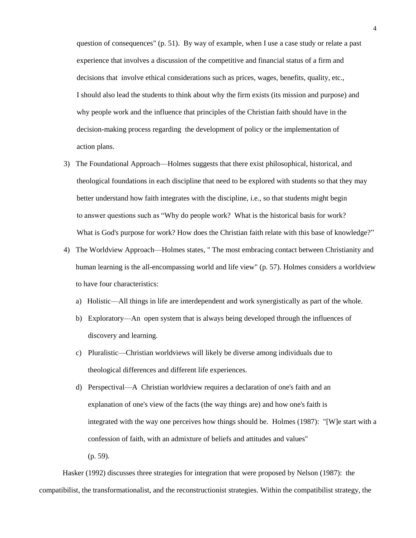question of consequences" (p. 51). By way of example, when I use a case study or relate a past experience that involves a discussion of the competitive and financial status of a firm and decisions that involve ethical considerations such as prices, wages, benefits, quality, etc., I should also lead the students to think about why the firm exists (its mission and purpose) and why people work and the influence that principles of the Christian faith should have in the decision-making process regarding the development of policy or the implementation of action plans.

- 3) The Foundational Approach—Holmes suggests that there exist philosophical, historical, and theological foundations in each discipline that need to be explored with students so that they may better understand how faith integrates with the discipline, i.e., so that students might begin to answer questions such as "Why do people work? What is the historical basis for work? What is God's purpose for work? How does the Christian faith relate with this base of knowledge?"
- 4) The Worldview Approach—Holmes states, " The most embracing contact between Christianity and human learning is the all-encompassing world and life view" (p. 57). Holmes considers a worldview to have four characteristics:
	- a) Holistic—All things in life are interdependent and work synergistically as part of the whole.
	- b) Exploratory—An open system that is always being developed through the influences of discovery and learning.
	- c) Pluralistic—Christian worldviews will likely be diverse among individuals due to theological differences and different life experiences.
	- d) Perspectival—A Christian worldview requires a declaration of one's faith and an explanation of one's view of the facts (the way things are) and how one's faith is integrated with the way one perceives how things should be. Holmes (1987): "[W]e start with a confession of faith, with an admixture of beliefs and attitudes and values"
		- (p. 59).

 Hasker (1992) discusses three strategies for integration that were proposed by Nelson (1987): the compatibilist, the transformationalist, and the reconstructionist strategies. Within the compatibilist strategy, the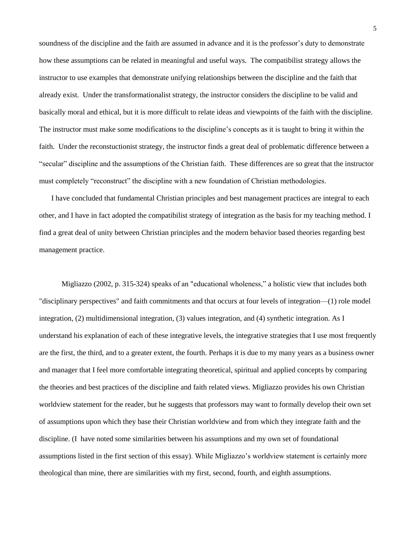soundness of the discipline and the faith are assumed in advance and it is the professor's duty to demonstrate how these assumptions can be related in meaningful and useful ways. The compatibilist strategy allows the instructor to use examples that demonstrate unifying relationships between the discipline and the faith that already exist. Under the transformationalist strategy, the instructor considers the discipline to be valid and basically moral and ethical, but it is more difficult to relate ideas and viewpoints of the faith with the discipline. The instructor must make some modifications to the discipline's concepts as it is taught to bring it within the faith. Under the reconstuctionist strategy, the instructor finds a great deal of problematic difference between a ―secular‖ discipline and the assumptions of the Christian faith. These differences are so great that the instructor must completely "reconstruct" the discipline with a new foundation of Christian methodologies.

I have concluded that fundamental Christian principles and best management practices are integral to each other, and I have in fact adopted the compatibilist strategy of integration as the basis for my teaching method. I find a great deal of unity between Christian principles and the modern behavior based theories regarding best management practice.

Migliazzo (2002, p. 315-324) speaks of an "educational wholeness," a holistic view that includes both "disciplinary perspectives" and faith commitments and that occurs at four levels of integration—(1) role model integration, (2) multidimensional integration, (3) values integration, and (4) synthetic integration. As I understand his explanation of each of these integrative levels, the integrative strategies that I use most frequently are the first, the third, and to a greater extent, the fourth. Perhaps it is due to my many years as a business owner and manager that I feel more comfortable integrating theoretical, spiritual and applied concepts by comparing the theories and best practices of the discipline and faith related views. Migliazzo provides his own Christian worldview statement for the reader, but he suggests that professors may want to formally develop their own set of assumptions upon which they base their Christian worldview and from which they integrate faith and the discipline. (I have noted some similarities between his assumptions and my own set of foundational assumptions listed in the first section of this essay). While Migliazzo's worldview statement is certainly more theological than mine, there are similarities with my first, second, fourth, and eighth assumptions.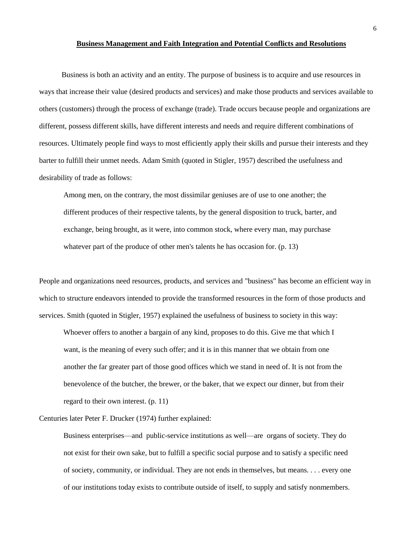#### **Business Management and Faith Integration and Potential Conflicts and Resolutions**

 Business is both an activity and an entity. The purpose of business is to acquire and use resources in ways that increase their value (desired products and services) and make those products and services available to others (customers) through the process of exchange (trade). Trade occurs because people and organizations are different, possess different skills, have different interests and needs and require different combinations of resources. Ultimately people find ways to most efficiently apply their skills and pursue their interests and they barter to fulfill their unmet needs. Adam Smith (quoted in Stigler, 1957) described the usefulness and desirability of trade as follows:

 Among men, on the contrary, the most dissimilar geniuses are of use to one another; the different produces of their respective talents, by the general disposition to truck, barter, and exchange, being brought, as it were, into common stock, where every man, may purchase whatever part of the produce of other men's talents he has occasion for. (p. 13)

People and organizations need resources, products, and services and "business" has become an efficient way in which to structure endeavors intended to provide the transformed resources in the form of those products and services. Smith (quoted in Stigler, 1957) explained the usefulness of business to society in this way:

Whoever offers to another a bargain of any kind, proposes to do this. Give me that which I want, is the meaning of every such offer; and it is in this manner that we obtain from one another the far greater part of those good offices which we stand in need of. It is not from the benevolence of the butcher, the brewer, or the baker, that we expect our dinner, but from their regard to their own interest. (p. 11)

Centuries later Peter F. Drucker (1974) further explained:

 Business enterprises—and public-service institutions as well—are organs of society. They do not exist for their own sake, but to fulfill a specific social purpose and to satisfy a specific need of society, community, or individual. They are not ends in themselves, but means. . . . every one of our institutions today exists to contribute outside of itself, to supply and satisfy nonmembers.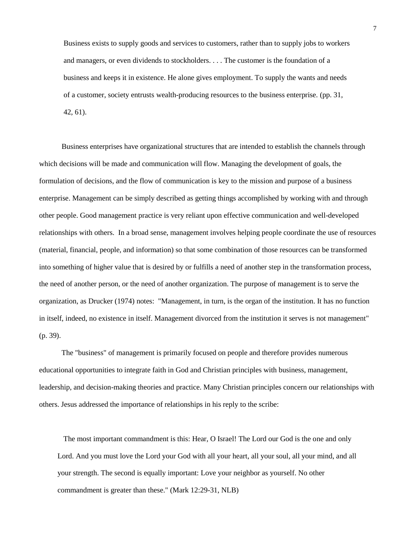Business exists to supply goods and services to customers, rather than to supply jobs to workers and managers, or even dividends to stockholders. . . . The customer is the foundation of a business and keeps it in existence. He alone gives employment. To supply the wants and needs of a customer, society entrusts wealth-producing resources to the business enterprise. (pp. 31, 42, 61).

 Business enterprises have organizational structures that are intended to establish the channels through which decisions will be made and communication will flow. Managing the development of goals, the formulation of decisions, and the flow of communication is key to the mission and purpose of a business enterprise. Management can be simply described as getting things accomplished by working with and through other people. Good management practice is very reliant upon effective communication and well-developed relationships with others. In a broad sense, management involves helping people coordinate the use of resources (material, financial, people, and information) so that some combination of those resources can be transformed into something of higher value that is desired by or fulfills a need of another step in the transformation process, the need of another person, or the need of another organization. The purpose of management is to serve the organization, as Drucker (1974) notes: "Management, in turn, is the organ of the institution. It has no function in itself, indeed, no existence in itself. Management divorced from the institution it serves is not management" (p. 39).

 The "business" of management is primarily focused on people and therefore provides numerous educational opportunities to integrate faith in God and Christian principles with business, management, leadership, and decision-making theories and practice. Many Christian principles concern our relationships with others. Jesus addressed the importance of relationships in his reply to the scribe:

 The most important commandment is this: Hear, O Israel! The Lord our God is the one and only Lord. And you must love the Lord your God with all your heart, all your soul, all your mind, and all your strength. The second is equally important: Love your neighbor as yourself. No other commandment is greater than these." (Mark 12:29-31, NLB)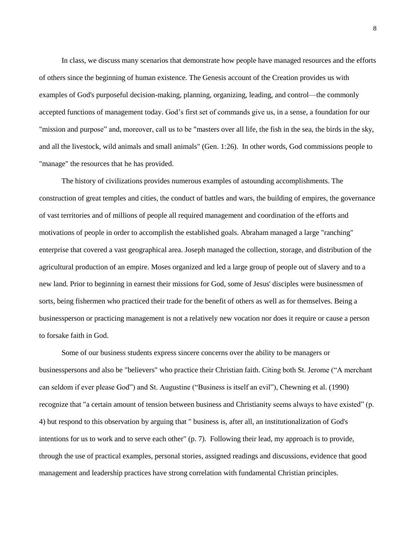In class, we discuss many scenarios that demonstrate how people have managed resources and the efforts of others since the beginning of human existence. The Genesis account of the Creation provides us with examples of God's purposeful decision-making, planning, organizing, leading, and control—the commonly accepted functions of management today. God's first set of commands give us, in a sense, a foundation for our "mission and purpose" and, moreover, call us to be "masters over all life, the fish in the sea, the birds in the sky, and all the livestock, wild animals and small animals" (Gen. 1:26). In other words, God commissions people to "manage" the resources that he has provided.

 The history of civilizations provides numerous examples of astounding accomplishments. The construction of great temples and cities, the conduct of battles and wars, the building of empires, the governance of vast territories and of millions of people all required management and coordination of the efforts and motivations of people in order to accomplish the established goals. Abraham managed a large "ranching" enterprise that covered a vast geographical area. Joseph managed the collection, storage, and distribution of the agricultural production of an empire. Moses organized and led a large group of people out of slavery and to a new land. Prior to beginning in earnest their missions for God, some of Jesus' disciples were businessmen of sorts, being fishermen who practiced their trade for the benefit of others as well as for themselves. Being a businessperson or practicing management is not a relatively new vocation nor does it require or cause a person to forsake faith in God.

 Some of our business students express sincere concerns over the ability to be managers or businesspersons and also be "believers" who practice their Christian faith. Citing both St. Jerome ("A merchant can seldom if ever please God") and St. Augustine ("Business is itself an evil"), Chewning et al. (1990) recognize that "a certain amount of tension between business and Christianity seems always to have existed" (p. 4) but respond to this observation by arguing that " business is, after all, an institutionalization of God's intentions for us to work and to serve each other" (p. 7). Following their lead, my approach is to provide, through the use of practical examples, personal stories, assigned readings and discussions, evidence that good management and leadership practices have strong correlation with fundamental Christian principles.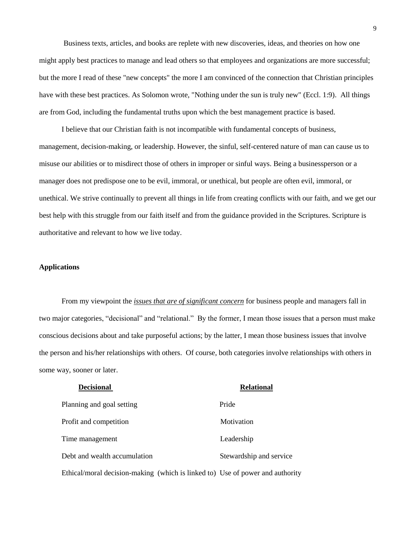Business texts, articles, and books are replete with new discoveries, ideas, and theories on how one might apply best practices to manage and lead others so that employees and organizations are more successful; but the more I read of these "new concepts" the more I am convinced of the connection that Christian principles have with these best practices. As Solomon wrote, "Nothing under the sun is truly new" (Eccl. 1:9). All things are from God, including the fundamental truths upon which the best management practice is based.

 I believe that our Christian faith is not incompatible with fundamental concepts of business, management, decision-making, or leadership. However, the sinful, self-centered nature of man can cause us to misuse our abilities or to misdirect those of others in improper or sinful ways. Being a businessperson or a manager does not predispose one to be evil, immoral, or unethical, but people are often evil, immoral, or unethical. We strive continually to prevent all things in life from creating conflicts with our faith, and we get our best help with this struggle from our faith itself and from the guidance provided in the Scriptures. Scripture is authoritative and relevant to how we live today.

### **Applications**

 From my viewpoint the *issues that are of significant concern* for business people and managers fall in two major categories, "decisional" and "relational." By the former, I mean those issues that a person must make conscious decisions about and take purposeful actions; by the latter, I mean those business issues that involve the person and his/her relationships with others. Of course, both categories involve relationships with others in some way, sooner or later.

| <b>Decisional</b>                                                             | <b>Relational</b>       |
|-------------------------------------------------------------------------------|-------------------------|
| Planning and goal setting                                                     | Pride                   |
| Profit and competition                                                        | Motivation              |
| Time management                                                               | Leadership              |
| Debt and wealth accumulation                                                  | Stewardship and service |
| Ethical/moral decision-making (which is linked to) Use of power and authority |                         |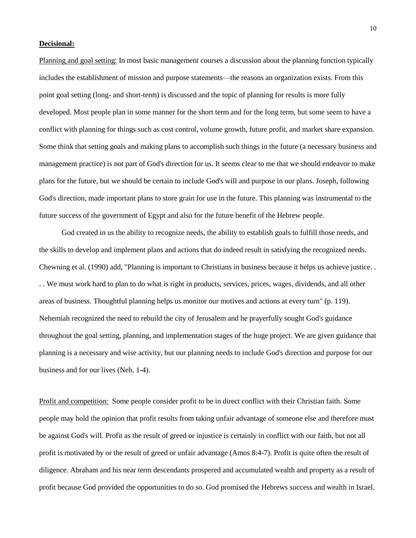### **Decisional:**

Planning and goal setting: In most basic management courses a discussion about the planning function typically includes the establishment of mission and purpose statements—the reasons an organization exists. From this point goal setting (long- and short-term) is discussed and the topic of planning for results is more fully developed. Most people plan in some manner for the short term and for the long term, but some seem to have a conflict with planning for things such as cost control, volume growth, future profit, and market share expansion. Some think that setting goals and making plans to accomplish such things in the future (a necessary business and management practice) is not part of God's direction for us. It seems clear to me that we should endeavor to make plans for the future, but we should be certain to include God's will and purpose in our plans. Joseph, following God's direction, made important plans to store grain for use in the future. This planning was instrumental to the future success of the government of Egypt and also for the future benefit of the Hebrew people.

 God created in us the ability to recognize needs, the ability to establish goals to fulfill those needs, and the skills to develop and implement plans and actions that do indeed result in satisfying the recognized needs. Chewning et al. (1990) add, "Planning is important to Christians in business because it helps us achieve justice. . . . We must work hard to plan to do what is right in products, services, prices, wages, dividends, and all other areas of business. Thoughtful planning helps us monitor our motives and actions at every turn" (p. 119). Nehemiah recognized the need to rebuild the city of Jerusalem and he prayerfully sought God's guidance throughout the goal setting, planning, and implementation stages of the huge project. We are given guidance that planning is a necessary and wise activity, but our planning needs to include God's direction and purpose for our business and for our lives (Neh. 1-4).

Profit and competition: Some people consider profit to be in direct conflict with their Christian faith. Some people may hold the opinion that profit results from taking unfair advantage of someone else and therefore must be against God's will. Profit as the result of greed or injustice is certainly in conflict with our faith, but not all profit is motivated by or the result of greed or unfair advantage (Amos 8:4-7). Profit is quite often the result of diligence. Abraham and his near term descendants prospered and accumulated wealth and property as a result of profit because God provided the opportunities to do so. God promised the Hebrews success and wealth in Israel.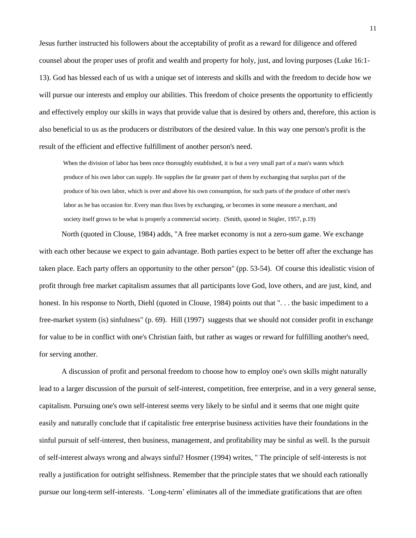Jesus further instructed his followers about the acceptability of profit as a reward for diligence and offered counsel about the proper uses of profit and wealth and property for holy, just, and loving purposes (Luke 16:1- 13). God has blessed each of us with a unique set of interests and skills and with the freedom to decide how we will pursue our interests and employ our abilities. This freedom of choice presents the opportunity to efficiently and effectively employ our skills in ways that provide value that is desired by others and, therefore, this action is also beneficial to us as the producers or distributors of the desired value. In this way one person's profit is the result of the efficient and effective fulfillment of another person's need.

 When the division of labor has been once thoroughly established, it is but a very small part of a man's wants which produce of his own labor can supply. He supplies the far greater part of them by exchanging that surplus part of the produce of his own labor, which is over and above his own consumption, for such parts of the produce of other men's labor as he has occasion for. Every man thus lives by exchanging, or becomes in some measure a merchant, and society itself grows to be what is properly a commercial society. (Smith, quoted in Stigler, 1957, p.19)

 North (quoted in Clouse, 1984) adds, "A free market economy is not a zero-sum game. We exchange with each other because we expect to gain advantage. Both parties expect to be better off after the exchange has taken place. Each party offers an opportunity to the other person" (pp. 53-54). Of course this idealistic vision of profit through free market capitalism assumes that all participants love God, love others, and are just, kind, and honest. In his response to North, Diehl (quoted in Clouse, 1984) points out that "... the basic impediment to a free-market system (is) sinfulness" (p. 69). Hill (1997)suggests that we should not consider profit in exchange for value to be in conflict with one's Christian faith, but rather as wages or reward for fulfilling another's need, for serving another.

 A discussion of profit and personal freedom to choose how to employ one's own skills might naturally lead to a larger discussion of the pursuit of self-interest, competition, free enterprise, and in a very general sense, capitalism. Pursuing one's own self-interest seems very likely to be sinful and it seems that one might quite easily and naturally conclude that if capitalistic free enterprise business activities have their foundations in the sinful pursuit of self-interest, then business, management, and profitability may be sinful as well. Is the pursuit of self-interest always wrong and always sinful? Hosmer (1994) writes, " The principle of self-interests is not really a justification for outright selfishness. Remember that the principle states that we should each rationally pursue our long-term self-interests. ‗Long-term' eliminates all of the immediate gratifications that are often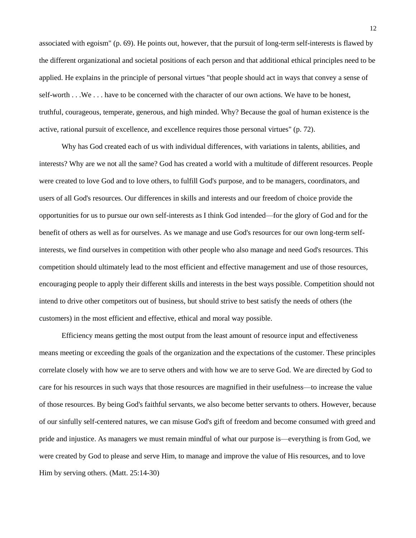associated with egoism" (p. 69). He points out, however, that the pursuit of long-term self-interests is flawed by the different organizational and societal positions of each person and that additional ethical principles need to be applied. He explains in the principle of personal virtues "that people should act in ways that convey a sense of self-worth . . .We . . . have to be concerned with the character of our own actions. We have to be honest, truthful, courageous, temperate, generous, and high minded. Why? Because the goal of human existence is the active, rational pursuit of excellence, and excellence requires those personal virtues" (p. 72).

 Why has God created each of us with individual differences, with variations in talents, abilities, and interests? Why are we not all the same? God has created a world with a multitude of different resources. People were created to love God and to love others, to fulfill God's purpose, and to be managers, coordinators, and users of all God's resources. Our differences in skills and interests and our freedom of choice provide the opportunities for us to pursue our own self-interests as I think God intended—for the glory of God and for the benefit of others as well as for ourselves. As we manage and use God's resources for our own long-term selfinterests, we find ourselves in competition with other people who also manage and need God's resources. This competition should ultimately lead to the most efficient and effective management and use of those resources, encouraging people to apply their different skills and interests in the best ways possible. Competition should not intend to drive other competitors out of business, but should strive to best satisfy the needs of others (the customers) in the most efficient and effective, ethical and moral way possible.

 Efficiency means getting the most output from the least amount of resource input and effectiveness means meeting or exceeding the goals of the organization and the expectations of the customer. These principles correlate closely with how we are to serve others and with how we are to serve God. We are directed by God to care for his resources in such ways that those resources are magnified in their usefulness—to increase the value of those resources. By being God's faithful servants, we also become better servants to others. However, because of our sinfully self-centered natures, we can misuse God's gift of freedom and become consumed with greed and pride and injustice. As managers we must remain mindful of what our purpose is—everything is from God, we were created by God to please and serve Him, to manage and improve the value of His resources, and to love Him by serving others. (Matt. 25:14-30)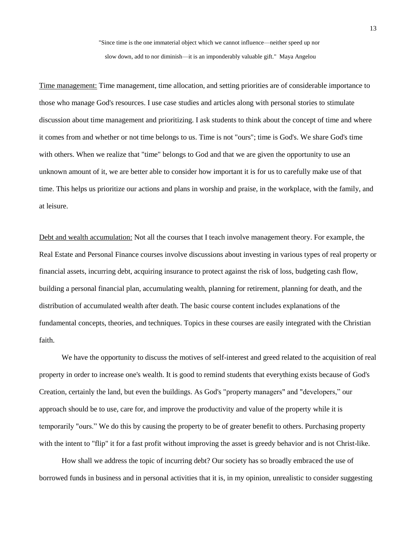"Since time is the one immaterial object which we cannot influence—neither speed up nor

slow down, add to nor diminish—it is an imponderably valuable gift." Maya Angelou

Time management: Time management, time allocation, and setting priorities are of considerable importance to those who manage God's resources. I use case studies and articles along with personal stories to stimulate discussion about time management and prioritizing. I ask students to think about the concept of time and where it comes from and whether or not time belongs to us. Time is not "ours"; time is God's. We share God's time with others. When we realize that "time" belongs to God and that we are given the opportunity to use an unknown amount of it, we are better able to consider how important it is for us to carefully make use of that time. This helps us prioritize our actions and plans in worship and praise, in the workplace, with the family, and at leisure.

Debt and wealth accumulation: Not all the courses that I teach involve management theory. For example, the Real Estate and Personal Finance courses involve discussions about investing in various types of real property or financial assets, incurring debt, acquiring insurance to protect against the risk of loss, budgeting cash flow, building a personal financial plan, accumulating wealth, planning for retirement, planning for death, and the distribution of accumulated wealth after death. The basic course content includes explanations of the fundamental concepts, theories, and techniques. Topics in these courses are easily integrated with the Christian faith.

 We have the opportunity to discuss the motives of self-interest and greed related to the acquisition of real property in order to increase one's wealth. It is good to remind students that everything exists because of God's Creation, certainly the land, but even the buildings. As God's "property managers" and "developers," our approach should be to use, care for, and improve the productivity and value of the property while it is temporarily "ours.‖ We do this by causing the property to be of greater benefit to others. Purchasing property with the intent to "flip" it for a fast profit without improving the asset is greedy behavior and is not Christ-like.

 How shall we address the topic of incurring debt? Our society has so broadly embraced the use of borrowed funds in business and in personal activities that it is, in my opinion, unrealistic to consider suggesting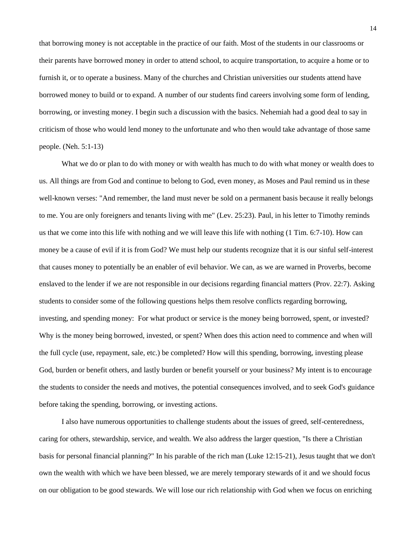that borrowing money is not acceptable in the practice of our faith. Most of the students in our classrooms or their parents have borrowed money in order to attend school, to acquire transportation, to acquire a home or to furnish it, or to operate a business. Many of the churches and Christian universities our students attend have borrowed money to build or to expand. A number of our students find careers involving some form of lending, borrowing, or investing money. I begin such a discussion with the basics. Nehemiah had a good deal to say in criticism of those who would lend money to the unfortunate and who then would take advantage of those same people. (Neh. 5:1-13)

 What we do or plan to do with money or with wealth has much to do with what money or wealth does to us. All things are from God and continue to belong to God, even money, as Moses and Paul remind us in these well-known verses: "And remember, the land must never be sold on a permanent basis because it really belongs to me. You are only foreigners and tenants living with me" (Lev. 25:23). Paul, in his letter to Timothy reminds us that we come into this life with nothing and we will leave this life with nothing (1 Tim. 6:7-10). How can money be a cause of evil if it is from God? We must help our students recognize that it is our sinful self-interest that causes money to potentially be an enabler of evil behavior. We can, as we are warned in Proverbs, become enslaved to the lender if we are not responsible in our decisions regarding financial matters (Prov. 22:7). Asking students to consider some of the following questions helps them resolve conflicts regarding borrowing, investing, and spending money: For what product or service is the money being borrowed, spent, or invested? Why is the money being borrowed, invested, or spent? When does this action need to commence and when will the full cycle (use, repayment, sale, etc.) be completed? How will this spending, borrowing, investing please God, burden or benefit others, and lastly burden or benefit yourself or your business? My intent is to encourage the students to consider the needs and motives, the potential consequences involved, and to seek God's guidance before taking the spending, borrowing, or investing actions.

 I also have numerous opportunities to challenge students about the issues of greed, self-centeredness, caring for others, stewardship, service, and wealth. We also address the larger question, "Is there a Christian basis for personal financial planning?" In his parable of the rich man (Luke 12:15-21), Jesus taught that we don't own the wealth with which we have been blessed, we are merely temporary stewards of it and we should focus on our obligation to be good stewards. We will lose our rich relationship with God when we focus on enriching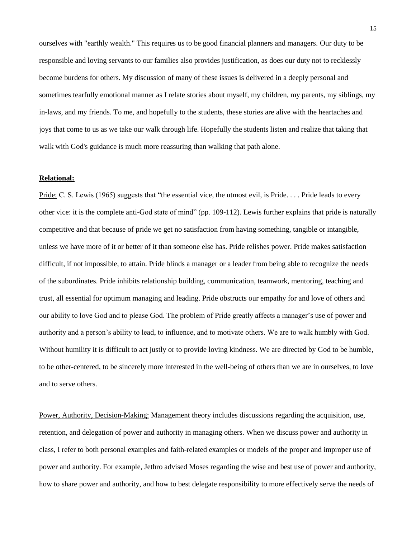ourselves with "earthly wealth." This requires us to be good financial planners and managers. Our duty to be responsible and loving servants to our families also provides justification, as does our duty not to recklessly become burdens for others. My discussion of many of these issues is delivered in a deeply personal and sometimes tearfully emotional manner as I relate stories about myself, my children, my parents, my siblings, my in-laws, and my friends. To me, and hopefully to the students, these stories are alive with the heartaches and joys that come to us as we take our walk through life. Hopefully the students listen and realize that taking that walk with God's guidance is much more reassuring than walking that path alone.

### **Relational:**

Pride: C. S. Lewis (1965) suggests that "the essential vice, the utmost evil, is Pride.  $\dots$  Pride leads to every other vice: it is the complete anti-God state of mind" (pp. 109-112). Lewis further explains that pride is naturally competitive and that because of pride we get no satisfaction from having something, tangible or intangible, unless we have more of it or better of it than someone else has. Pride relishes power. Pride makes satisfaction difficult, if not impossible, to attain. Pride blinds a manager or a leader from being able to recognize the needs of the subordinates. Pride inhibits relationship building, communication, teamwork, mentoring, teaching and trust, all essential for optimum managing and leading. Pride obstructs our empathy for and love of others and our ability to love God and to please God. The problem of Pride greatly affects a manager's use of power and authority and a person's ability to lead, to influence, and to motivate others. We are to walk humbly with God. Without humility it is difficult to act justly or to provide loving kindness. We are directed by God to be humble, to be other-centered, to be sincerely more interested in the well-being of others than we are in ourselves, to love and to serve others.

Power, Authority, Decision-Making: Management theory includes discussions regarding the acquisition, use, retention, and delegation of power and authority in managing others. When we discuss power and authority in class, I refer to both personal examples and faith-related examples or models of the proper and improper use of power and authority. For example, Jethro advised Moses regarding the wise and best use of power and authority, how to share power and authority, and how to best delegate responsibility to more effectively serve the needs of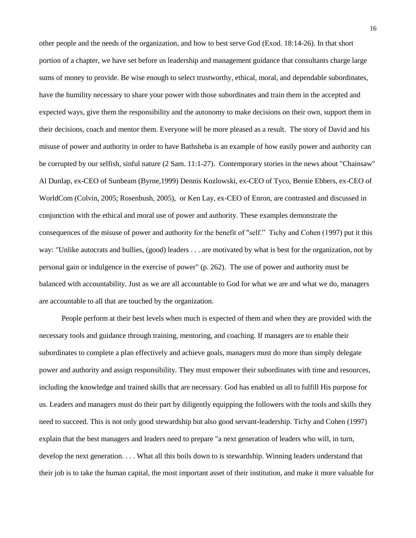other people and the needs of the organization, and how to best serve God (Exod. 18:14-26). In that short portion of a chapter, we have set before us leadership and management guidance that consultants charge large sums of money to provide. Be wise enough to select trustworthy, ethical, moral, and dependable subordinates, have the humility necessary to share your power with those subordinates and train them in the accepted and expected ways, give them the responsibility and the autonomy to make decisions on their own, support them in their decisions, coach and mentor them. Everyone will be more pleased as a result. The story of David and his misuse of power and authority in order to have Bathsheba is an example of how easily power and authority can be corrupted by our selfish, sinful nature (2 Sam. 11:1-27).Contemporary stories in the news about "Chainsaw" Al Dunlap, ex-CEO of Sunbeam (Byrne,1999) Dennis Kozlowski, ex-CEO of Tyco, Bernie Ebbers, ex-CEO of WorldCom (Colvin, 2005; Rosenbush, 2005), or Ken Lay, ex-CEO of Enron, are contrasted and discussed in conjunction with the ethical and moral use of power and authority. These examples demonstrate the consequences of the misuse of power and authority for the benefit of "self." Tichy and Cohen (1997) put it this way: "Unlike autocrats and bullies, (good) leaders . . . are motivated by what is best for the organization, not by personal gain or indulgence in the exercise of power" (p. 262). The use of power and authority must be balanced with accountability. Just as we are all accountable to God for what we are and what we do, managers are accountable to all that are touched by the organization.

 People perform at their best levels when much is expected of them and when they are provided with the necessary tools and guidance through training, mentoring, and coaching. If managers are to enable their subordinates to complete a plan effectively and achieve goals, managers must do more than simply delegate power and authority and assign responsibility. They must empower their subordinates with time and resources, including the knowledge and trained skills that are necessary. God has enabled us all to fulfill His purpose for us. Leaders and managers must do their part by diligently equipping the followers with the tools and skills they need to succeed. This is not only good stewardship but also good servant-leadership. Tichy and Cohen (1997) explain that the best managers and leaders need to prepare "a next generation of leaders who will, in turn, develop the next generation. . . . What all this boils down to is stewardship. Winning leaders understand that their job is to take the human capital, the most important asset of their institution, and make it more valuable for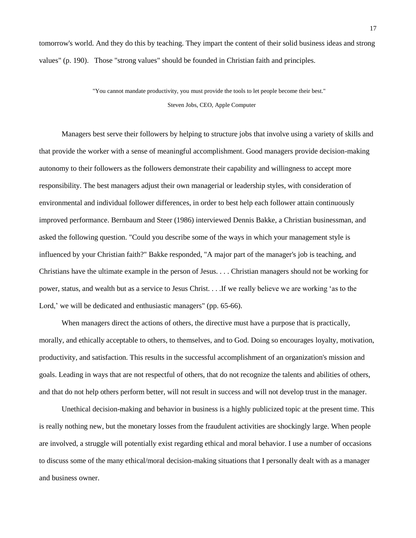tomorrow's world. And they do this by teaching. They impart the content of their solid business ideas and strong values" (p. 190). Those "strong values" should be founded in Christian faith and principles.

> "You cannot mandate productivity, you must provide the tools to let people become their best." Steven Jobs, CEO, Apple Computer

 Managers best serve their followers by helping to structure jobs that involve using a variety of skills and that provide the worker with a sense of meaningful accomplishment. Good managers provide decision-making autonomy to their followers as the followers demonstrate their capability and willingness to accept more responsibility. The best managers adjust their own managerial or leadership styles, with consideration of environmental and individual follower differences, in order to best help each follower attain continuously improved performance. Bernbaum and Steer (1986) interviewed Dennis Bakke, a Christian businessman, and asked the following question. "Could you describe some of the ways in which your management style is influenced by your Christian faith?" Bakke responded, "A major part of the manager's job is teaching, and Christians have the ultimate example in the person of Jesus. . . . Christian managers should not be working for power, status, and wealth but as a service to Jesus Christ. . . .If we really believe we are working ‗as to the Lord,' we will be dedicated and enthusiastic managers" (pp. 65-66).

When managers direct the actions of others, the directive must have a purpose that is practically, morally, and ethically acceptable to others, to themselves, and to God. Doing so encourages loyalty, motivation, productivity, and satisfaction. This results in the successful accomplishment of an organization's mission and goals. Leading in ways that are not respectful of others, that do not recognize the talents and abilities of others, and that do not help others perform better, will not result in success and will not develop trust in the manager.

 Unethical decision-making and behavior in business is a highly publicized topic at the present time. This is really nothing new, but the monetary losses from the fraudulent activities are shockingly large. When people are involved, a struggle will potentially exist regarding ethical and moral behavior. I use a number of occasions to discuss some of the many ethical/moral decision-making situations that I personally dealt with as a manager and business owner.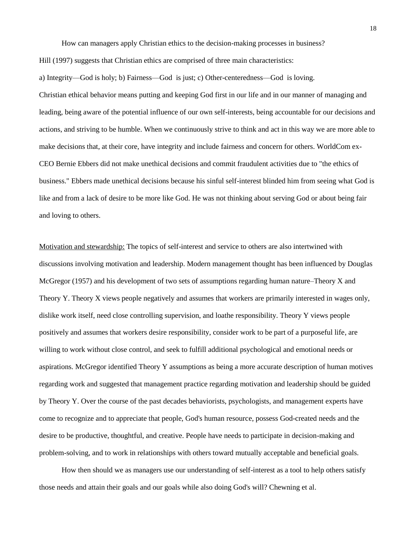How can managers apply Christian ethics to the decision-making processes in business?

Hill (1997) suggests that Christian ethics are comprised of three main characteristics:

a) Integrity—God is holy; b) Fairness—God is just; c) Other-centeredness—God is loving. Christian ethical behavior means putting and keeping God first in our life and in our manner of managing and leading, being aware of the potential influence of our own self-interests, being accountable for our decisions and actions, and striving to be humble. When we continuously strive to think and act in this way we are more able to make decisions that, at their core, have integrity and include fairness and concern for others. WorldCom ex-CEO Bernie Ebbers did not make unethical decisions and commit fraudulent activities due to "the ethics of business." Ebbers made unethical decisions because his sinful self-interest blinded him from seeing what God is like and from a lack of desire to be more like God. He was not thinking about serving God or about being fair and loving to others.

Motivation and stewardship: The topics of self-interest and service to others are also intertwined with discussions involving motivation and leadership. Modern management thought has been influenced by Douglas McGregor (1957) and his development of two sets of assumptions regarding human nature–Theory X and Theory Y. Theory X views people negatively and assumes that workers are primarily interested in wages only, dislike work itself, need close controlling supervision, and loathe responsibility. Theory Y views people positively and assumes that workers desire responsibility, consider work to be part of a purposeful life, are willing to work without close control, and seek to fulfill additional psychological and emotional needs or aspirations. McGregor identified Theory Y assumptions as being a more accurate description of human motives regarding work and suggested that management practice regarding motivation and leadership should be guided by Theory Y. Over the course of the past decades behaviorists, psychologists, and management experts have come to recognize and to appreciate that people, God's human resource, possess God-created needs and the desire to be productive, thoughtful, and creative. People have needs to participate in decision-making and problem-solving, and to work in relationships with others toward mutually acceptable and beneficial goals.

 How then should we as managers use our understanding of self-interest as a tool to help others satisfy those needs and attain their goals and our goals while also doing God's will? Chewning et al.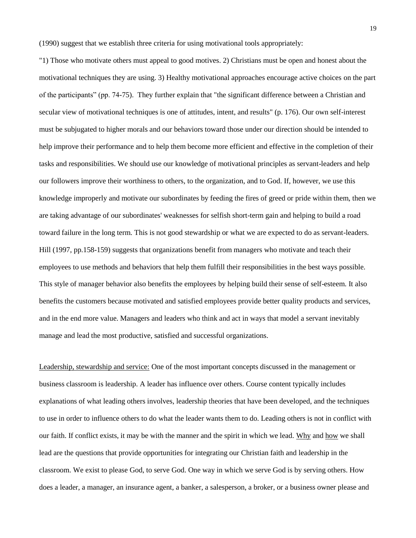(1990) suggest that we establish three criteria for using motivational tools appropriately:

"1) Those who motivate others must appeal to good motives. 2) Christians must be open and honest about the motivational techniques they are using. 3) Healthy motivational approaches encourage active choices on the part of the participants" (pp. 74-75). They further explain that "the significant difference between a Christian and secular view of motivational techniques is one of attitudes, intent, and results" (p. 176). Our own self-interest must be subjugated to higher morals and our behaviors toward those under our direction should be intended to help improve their performance and to help them become more efficient and effective in the completion of their tasks and responsibilities. We should use our knowledge of motivational principles as servant-leaders and help our followers improve their worthiness to others, to the organization, and to God. If, however, we use this knowledge improperly and motivate our subordinates by feeding the fires of greed or pride within them, then we are taking advantage of our subordinates' weaknesses for selfish short-term gain and helping to build a road toward failure in the long term. This is not good stewardship or what we are expected to do as servant-leaders. Hill (1997, pp.158-159) suggests that organizations benefit from managers who motivate and teach their employees to use methods and behaviors that help them fulfill their responsibilities in the best ways possible. This style of manager behavior also benefits the employees by helping build their sense of self-esteem. It also benefits the customers because motivated and satisfied employees provide better quality products and services, and in the end more value. Managers and leaders who think and act in ways that model a servant inevitably manage and lead the most productive, satisfied and successful organizations.

Leadership, stewardship and service: One of the most important concepts discussed in the management or business classroom is leadership. A leader has influence over others. Course content typically includes explanations of what leading others involves, leadership theories that have been developed, and the techniques to use in order to influence others to do what the leader wants them to do. Leading others is not in conflict with our faith. If conflict exists, it may be with the manner and the spirit in which we lead. Why and how we shall lead are the questions that provide opportunities for integrating our Christian faith and leadership in the classroom. We exist to please God, to serve God. One way in which we serve God is by serving others. How does a leader, a manager, an insurance agent, a banker, a salesperson, a broker, or a business owner please and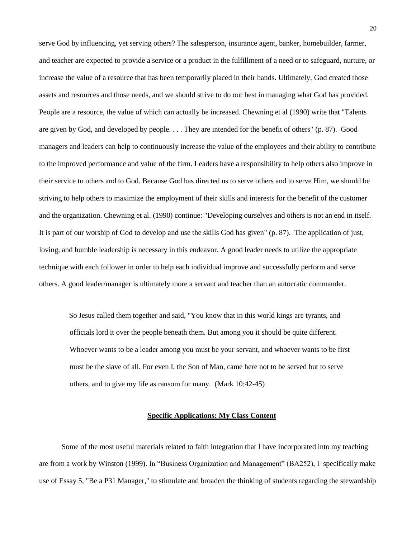serve God by influencing, yet serving others? The salesperson, insurance agent, banker, homebuilder, farmer, and teacher are expected to provide a service or a product in the fulfillment of a need or to safeguard, nurture, or increase the value of a resource that has been temporarily placed in their hands. Ultimately, God created those assets and resources and those needs, and we should strive to do our best in managing what God has provided. People are a resource, the value of which can actually be increased. Chewning et al (1990) write that "Talents are given by God, and developed by people. . . . They are intended for the benefit of others" (p. 87). Good managers and leaders can help to continuously increase the value of the employees and their ability to contribute to the improved performance and value of the firm. Leaders have a responsibility to help others also improve in their service to others and to God. Because God has directed us to serve others and to serve Him, we should be striving to help others to maximize the employment of their skills and interests for the benefit of the customer and the organization. Chewning et al. (1990) continue: "Developing ourselves and others is not an end in itself. It is part of our worship of God to develop and use the skills God has given" (p. 87). The application of just, loving, and humble leadership is necessary in this endeavor. A good leader needs to utilize the appropriate technique with each follower in order to help each individual improve and successfully perform and serve others. A good leader/manager is ultimately more a servant and teacher than an autocratic commander.

 So Jesus called them together and said, "You know that in this world kings are tyrants, and officials lord it over the people beneath them. But among you it should be quite different. Whoever wants to be a leader among you must be your servant, and whoever wants to be first must be the slave of all. For even I, the Son of Man, came here not to be served but to serve others, and to give my life as ransom for many. (Mark 10:42-45)

# **Specific Applications: My Class Content**

 Some of the most useful materials related to faith integration that I have incorporated into my teaching are from a work by Winston (1999). In "Business Organization and Management" (BA252), I specifically make use of Essay 5, "Be a P31 Manager," to stimulate and broaden the thinking of students regarding the stewardship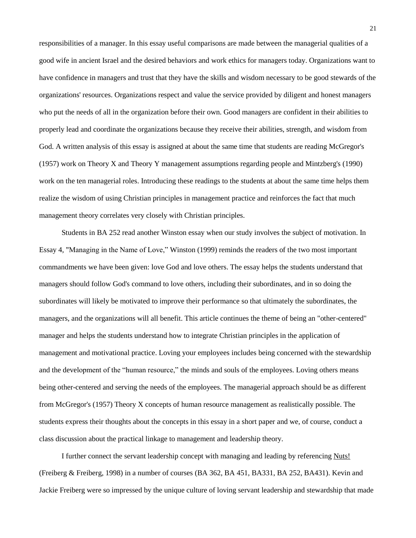responsibilities of a manager. In this essay useful comparisons are made between the managerial qualities of a good wife in ancient Israel and the desired behaviors and work ethics for managers today. Organizations want to have confidence in managers and trust that they have the skills and wisdom necessary to be good stewards of the organizations' resources. Organizations respect and value the service provided by diligent and honest managers who put the needs of all in the organization before their own. Good managers are confident in their abilities to properly lead and coordinate the organizations because they receive their abilities, strength, and wisdom from God. A written analysis of this essay is assigned at about the same time that students are reading McGregor's (1957) work on Theory X and Theory Y management assumptions regarding people and Mintzberg's (1990) work on the ten managerial roles. Introducing these readings to the students at about the same time helps them realize the wisdom of using Christian principles in management practice and reinforces the fact that much management theory correlates very closely with Christian principles.

 Students in BA 252 read another Winston essay when our study involves the subject of motivation. In Essay 4, "Managing in the Name of Love," Winston (1999) reminds the readers of the two most important commandments we have been given: love God and love others. The essay helps the students understand that managers should follow God's command to love others, including their subordinates, and in so doing the subordinates will likely be motivated to improve their performance so that ultimately the subordinates, the managers, and the organizations will all benefit. This article continues the theme of being an "other-centered" manager and helps the students understand how to integrate Christian principles in the application of management and motivational practice. Loving your employees includes being concerned with the stewardship and the development of the "human resource," the minds and souls of the employees. Loving others means being other-centered and serving the needs of the employees. The managerial approach should be as different from McGregor's (1957) Theory X concepts of human resource management as realistically possible. The students express their thoughts about the concepts in this essay in a short paper and we, of course, conduct a class discussion about the practical linkage to management and leadership theory.

 I further connect the servant leadership concept with managing and leading by referencing Nuts! (Freiberg & Freiberg, 1998) in a number of courses (BA 362, BA 451, BA331, BA 252, BA431). Kevin and Jackie Freiberg were so impressed by the unique culture of loving servant leadership and stewardship that made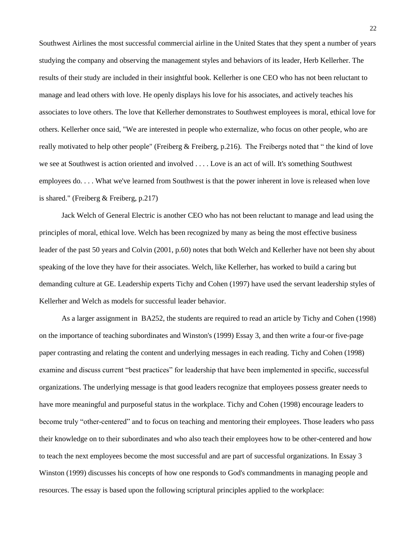Southwest Airlines the most successful commercial airline in the United States that they spent a number of years studying the company and observing the management styles and behaviors of its leader, Herb Kellerher. The results of their study are included in their insightful book. Kellerher is one CEO who has not been reluctant to manage and lead others with love. He openly displays his love for his associates, and actively teaches his associates to love others. The love that Kellerher demonstrates to Southwest employees is moral, ethical love for others. Kellerher once said, "We are interested in people who externalize, who focus on other people, who are really motivated to help other people" (Freiberg & Freiberg, p.216). The Freibergs noted that " the kind of love we see at Southwest is action oriented and involved . . . . Love is an act of will. It's something Southwest employees do. . . . What we've learned from Southwest is that the power inherent in love is released when love is shared." (Freiberg & Freiberg, p.217)

 Jack Welch of General Electric is another CEO who has not been reluctant to manage and lead using the principles of moral, ethical love. Welch has been recognized by many as being the most effective business leader of the past 50 years and Colvin (2001, p.60) notes that both Welch and Kellerher have not been shy about speaking of the love they have for their associates. Welch, like Kellerher, has worked to build a caring but demanding culture at GE. Leadership experts Tichy and Cohen (1997) have used the servant leadership styles of Kellerher and Welch as models for successful leader behavior.

 As a larger assignment in BA252, the students are required to read an article by Tichy and Cohen (1998) on the importance of teaching subordinates and Winston's (1999) Essay 3, and then write a four-or five-page paper contrasting and relating the content and underlying messages in each reading. Tichy and Cohen (1998) examine and discuss current "best practices" for leadership that have been implemented in specific, successful organizations. The underlying message is that good leaders recognize that employees possess greater needs to have more meaningful and purposeful status in the workplace. Tichy and Cohen (1998) encourage leaders to become truly "other-centered" and to focus on teaching and mentoring their employees. Those leaders who pass their knowledge on to their subordinates and who also teach their employees how to be other-centered and how to teach the next employees become the most successful and are part of successful organizations. In Essay 3 Winston (1999) discusses his concepts of how one responds to God's commandments in managing people and resources. The essay is based upon the following scriptural principles applied to the workplace: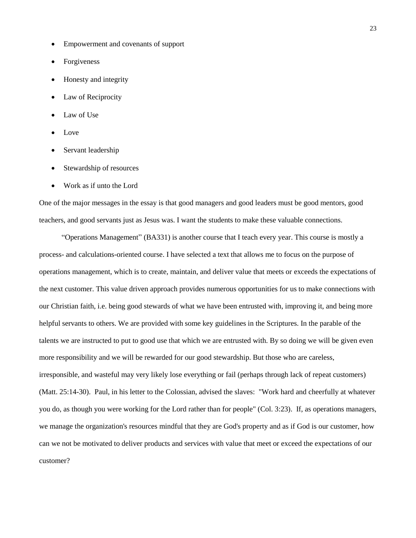- Empowerment and covenants of support
- Forgiveness
- Honesty and integrity
- Law of Reciprocity
- Law of Use
- Love
- Servant leadership
- Stewardship of resources
- Work as if unto the Lord

One of the major messages in the essay is that good managers and good leaders must be good mentors, good teachers, and good servants just as Jesus was. I want the students to make these valuable connections.

 ―Operations Management‖ (BA331) is another course that I teach every year. This course is mostly a process- and calculations-oriented course. I have selected a text that allows me to focus on the purpose of operations management, which is to create, maintain, and deliver value that meets or exceeds the expectations of the next customer. This value driven approach provides numerous opportunities for us to make connections with our Christian faith, i.e. being good stewards of what we have been entrusted with, improving it, and being more helpful servants to others. We are provided with some key guidelines in the Scriptures. In the parable of the talents we are instructed to put to good use that which we are entrusted with. By so doing we will be given even more responsibility and we will be rewarded for our good stewardship. But those who are careless, irresponsible, and wasteful may very likely lose everything or fail (perhaps through lack of repeat customers) (Matt. 25:14-30). Paul, in his letter to the Colossian, advised the slaves: "Work hard and cheerfully at whatever you do, as though you were working for the Lord rather than for people" (Col. 3:23). If, as operations managers, we manage the organization's resources mindful that they are God's property and as if God is our customer, how can we not be motivated to deliver products and services with value that meet or exceed the expectations of our customer?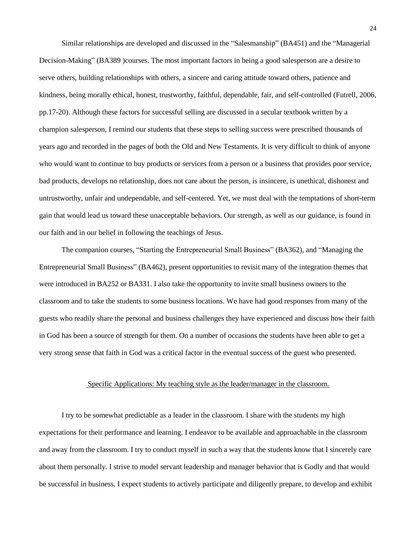Similar relationships are developed and discussed in the "Salesmanship" (BA451) and the "Managerial Decision-Making" (BA389) courses. The most important factors in being a good salesperson are a desire to serve others, building relationships with others, a sincere and caring attitude toward others, patience and kindness, being morally ethical, honest, trustworthy, faithful, dependable, fair, and self-controlled (Futrell, 2006, pp.17-20). Although these factors for successful selling are discussed in a secular textbook written by a champion salesperson, I remind our students that these steps to selling success were prescribed thousands of years ago and recorded in the pages of both the Old and New Testaments. It is very difficult to think of anyone who would want to continue to buy products or services from a person or a business that provides poor service, bad products, develops no relationship, does not care about the person, is insincere, is unethical, dishonest and untrustworthy, unfair and undependable, and self-centered. Yet, we must deal with the temptations of short-term gain that would lead us toward these unacceptable behaviors. Our strength, as well as our guidance, is found in our faith and in our belief in following the teachings of Jesus.

The companion courses, "Starting the Entrepreneurial Small Business" (BA362), and "Managing the Entrepreneurial Small Business‖ (BA462), present opportunities to revisit many of the integration themes that were introduced in BA252 or BA331. I also take the opportunity to invite small business owners to the classroom and to take the students to some business locations. We have had good responses from many of the guests who readily share the personal and business challenges they have experienced and discuss how their faith in God has been a source of strength for them. On a number of occasions the students have been able to get a very strong sense that faith in God was a critical factor in the eventual success of the guest who presented.

### Specific Applications: My teaching style as the leader/manager in the classroom.

 I try to be somewhat predictable as a leader in the classroom. I share with the students my high expectations for their performance and learning. I endeavor to be available and approachable in the classroom and away from the classroom. I try to conduct myself in such a way that the students know that I sincerely care about them personally. I strive to model servant leadership and manager behavior that is Godly and that would be successful in business. I expect students to actively participate and diligently prepare, to develop and exhibit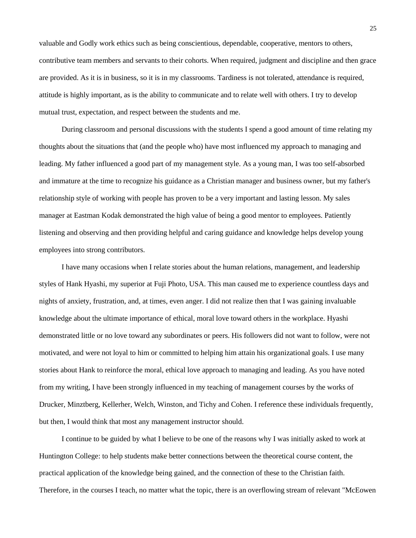valuable and Godly work ethics such as being conscientious, dependable, cooperative, mentors to others, contributive team members and servants to their cohorts. When required, judgment and discipline and then grace are provided. As it is in business, so it is in my classrooms. Tardiness is not tolerated, attendance is required, attitude is highly important, as is the ability to communicate and to relate well with others. I try to develop mutual trust, expectation, and respect between the students and me.

 During classroom and personal discussions with the students I spend a good amount of time relating my thoughts about the situations that (and the people who) have most influenced my approach to managing and leading. My father influenced a good part of my management style. As a young man, I was too self-absorbed and immature at the time to recognize his guidance as a Christian manager and business owner, but my father's relationship style of working with people has proven to be a very important and lasting lesson. My sales manager at Eastman Kodak demonstrated the high value of being a good mentor to employees. Patiently listening and observing and then providing helpful and caring guidance and knowledge helps develop young employees into strong contributors.

 I have many occasions when I relate stories about the human relations, management, and leadership styles of Hank Hyashi, my superior at Fuji Photo, USA. This man caused me to experience countless days and nights of anxiety, frustration, and, at times, even anger. I did not realize then that I was gaining invaluable knowledge about the ultimate importance of ethical, moral love toward others in the workplace. Hyashi demonstrated little or no love toward any subordinates or peers. His followers did not want to follow, were not motivated, and were not loyal to him or committed to helping him attain his organizational goals. I use many stories about Hank to reinforce the moral, ethical love approach to managing and leading. As you have noted from my writing, I have been strongly influenced in my teaching of management courses by the works of Drucker, Minztberg, Kellerher, Welch, Winston, and Tichy and Cohen. I reference these individuals frequently, but then, I would think that most any management instructor should.

 I continue to be guided by what I believe to be one of the reasons why I was initially asked to work at Huntington College: to help students make better connections between the theoretical course content, the practical application of the knowledge being gained, and the connection of these to the Christian faith. Therefore, in the courses I teach, no matter what the topic, there is an overflowing stream of relevant "McEowen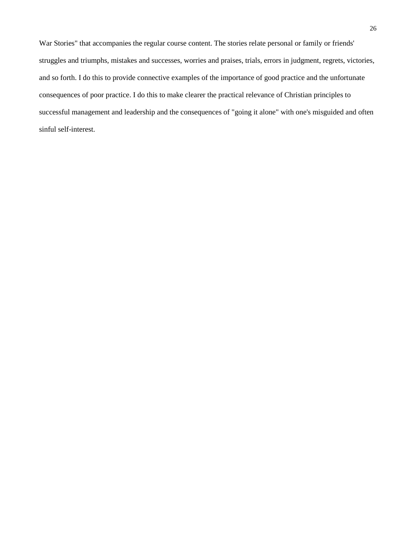War Stories" that accompanies the regular course content. The stories relate personal or family or friends' struggles and triumphs, mistakes and successes, worries and praises, trials, errors in judgment, regrets, victories, and so forth. I do this to provide connective examples of the importance of good practice and the unfortunate consequences of poor practice. I do this to make clearer the practical relevance of Christian principles to successful management and leadership and the consequences of "going it alone" with one's misguided and often sinful self-interest.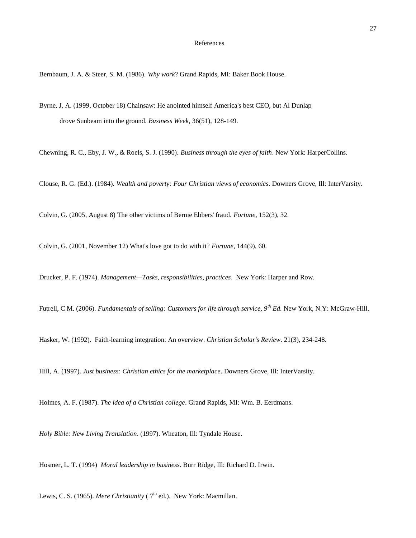#### References

Bernbaum, J. A. & Steer, S. M. (1986). *Why work*? Grand Rapids, MI: Baker Book House.

Byrne, J. A. (1999, October 18) Chainsaw: He anointed himself America's best CEO, but Al Dunlap drove Sunbeam into the ground. *Business Week*, 36(51), 128-149.

Chewning, R. C., Eby, J. W., & Roels, S. J. (1990). *Business through the eyes of faith*. New York: HarperCollins.

Clouse, R. G. (Ed.). (1984). *Wealth and poverty: Four Christian views of economics*. Downers Grove, Ill: InterVarsity.

Colvin, G. (2005, August 8) The other victims of Bernie Ebbers' fraud. *Fortune*, 152(3), 32.

Colvin, G. (2001, November 12) What's love got to do with it? *Fortune*, 144(9), 60.

Drucker, P. F. (1974). *Management—Tasks, responsibilities, practices*. New York: Harper and Row.

Futrell, C M. (2006). *Fundamentals of selling: Customers for life through service, 9th Ed.* New York, N.Y: McGraw-Hill.

Hasker, W. (1992). Faith-learning integration: An overview. *Christian Scholar's Review*. 21(3), 234-248.

Hill, A. (1997). *Just business: Christian ethics for the marketplace*. Downers Grove, Ill: InterVarsity.

Holmes, A. F. (1987). *The idea of a Christian college*. Grand Rapids, MI: Wm. B. Eerdmans.

*Holy Bible: New Living Translation*. (1997). Wheaton, Ill: Tyndale House.

Hosmer, L. T. (1994) *Moral leadership in business*. Burr Ridge, Ill: Richard D. Irwin.

Lewis, C. S. (1965). *Mere Christianity* (  $7<sup>th</sup>$  ed.). New York: Macmillan.